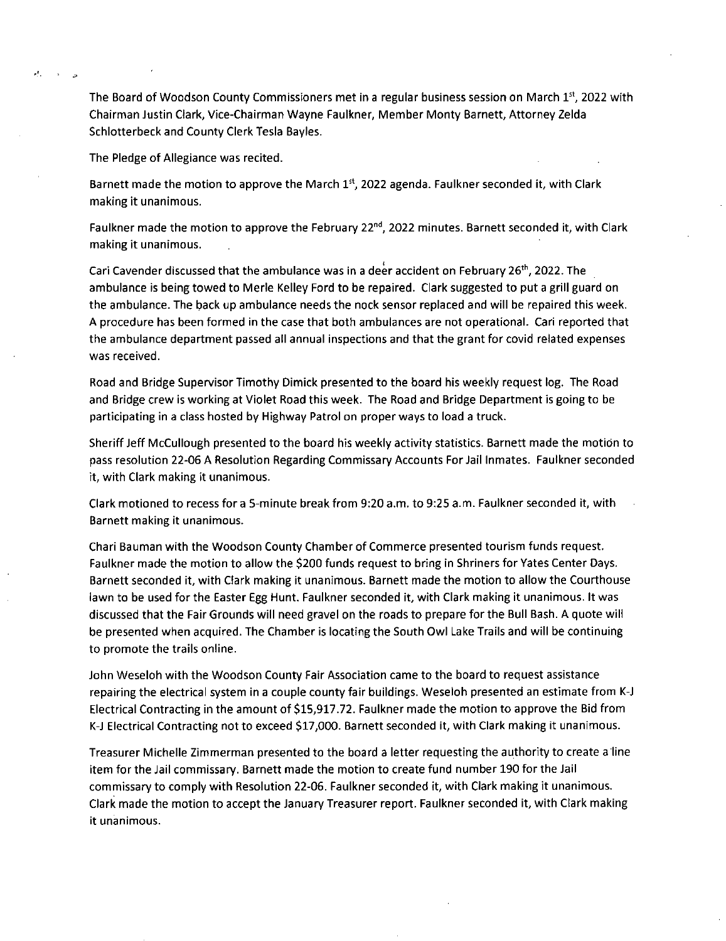The Board of Woodson County Commissioners met in a regular business session on March  $1^{st}$ , 2022 with Chairman Justin Clark, Vice-Chairman Wayne Faulkner, Member Monty Barnett, Attorney Zelda Schlotterbeck and County Clerk Tesla Bayles.

The Pledge of Allegiance was recited.

 $\mathbf{r}^{\dagger}$  .

Barnett made the motion to approve the March  $1<sup>st</sup>$ , 2022 agenda. Faulkner seconded it, with Clark making it unanimous.

Faulkner made the motion to approve the February 22<sup>nd</sup>, 2022 minutes. Barnett seconded it, with Clark making it unanimous.

Cari Cavender discussed that the ambulance was in a deer accident on February 26<sup>th</sup>, 2022. The ambulance is being towed to Merle Kelley Ford to be repaired. Clark suggested to put a grill guard on the ambulance. The back up ambulance needs the nock sensor replaced and will be repaired this week. A procedure has been formed in the case that both ambulances are not operational. Cari reported that the ambulance department passed all annual inspections and that the grant for covid related expenses was received.

Road and Bridge Supervisor Timothy Dimick presented to the board his weekly request log. The Road and Bridge crew is working at Violet Road this week. The Road and Bridge Department is going to be participating in a class hosted by Highway Patrol on proper ways to load a truck.

Sheriff Jeff McCullough presented to the board his weekly activity statistics. Barnett made the motion to pass resolution 22-06 A Resolution Regarding Commissary Accounts For Jail Inmates. Faulkner seconded it, with Clark making it unanimous.

Clark motioned to recess for a 5-minute break from 9:20 a.m. to 9:25 a.m. Faulkner seconded it, with Barnett making it unanimous.

Chari Bauman with the Woodson County Chamber of Commerce presented tourism funds request. Faulkner made the motion to allow the \$200 funds request to bring in Shriners for Yates Center Days. Barnett seconded it, with Clark making it unanimous. Barnett made the motion to allow the Courthouse lawn to be used for the Easter Egg Hunt. Faulkner seconded it, with Clark making it unanimous. It was discussed that the Fair Grounds will need gravel on the roads to prepare for the Bull Bash. A quote will be presented when acquired. The Chamber is locating the South Owl Lake Trails and will be continuing to promote the trails online.

John Weseloh with the Woodson County Fair Association came to the board to request assistance repairing the electrical system in a couple county fair buildings. Weseloh presented an estimate from K-1 Electrical Contracting in the amount of \$15,917.72. Faulkner made the motion to approve the Bid from K-J Electrical Contracting not to exceed \$17,000. Barnett seconded it, with Clark making it unanimous.

Treasurer Michelle Zimmerman presented to the board a letter requesting the authority to create aline item for the Jail commissary. Barnett made the motion to create fund number 190 for the Jail commissary to comply with Resolution 22-06. Faulkner seconded it, with Clark making it unanimous. Clark made the motion to accept the January Treasurer report. Faulkner seconded it, with Clark making it unanimous.